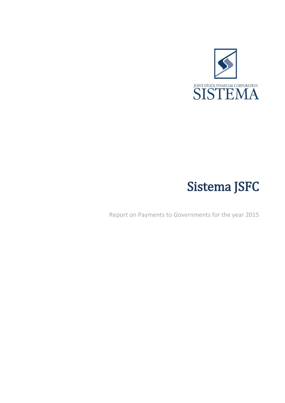

# Sistema JSFC

Report on Payments to Governments for the year 2015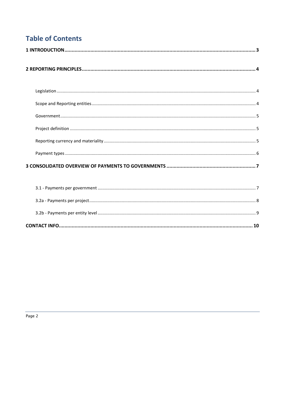# **Table of Contents**

|--|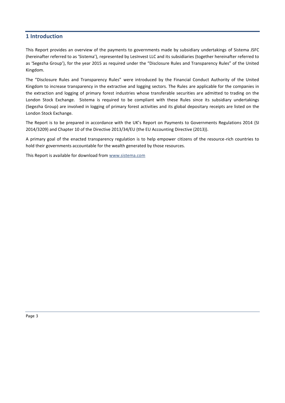### <span id="page-2-0"></span>**1 Introduction**

This Report provides an overview of the payments to governments made by subsidiary undertakings of Sistema JSFC (hereinafter referred to as 'Sistema'), represented by LesInvest LLC and its subsidiaries (together hereinafter referred to as 'Segezha Group'), for the year 2015 as required under the "Disclosure Rules and Transparency Rules" of the United Kingdom.

The "Disclosure Rules and Transparency Rules" were introduced by the Financial Conduct Authority of the United Kingdom to increase transparency in the extractive and logging sectors. The Rules are applicable for the companies in the extraction and logging of primary forest industries whose transferable securities are admitted to trading on the London Stock Exchange. Sistema is required to be compliant with these Rules since its subsidiary undertakings (Segezha Group) are involved in logging of primary forest activities and its global depositary receipts are listed on the London Stock Exchange.

The Report is to be prepared in accordance with the UK's Report on Payments to Governments Regulations 2014 (SI 2014/3209) and Chapter 10 of the Directive 2013/34/EU (the EU Accounting Directive (2013)).

A primary goal of the enacted transparency regulation is to help empower citizens of the resource-rich countries to hold their governments accountable for the wealth generated by those resources.

This Report is available for download from [www.sistema.com](http://www.sistema.com/)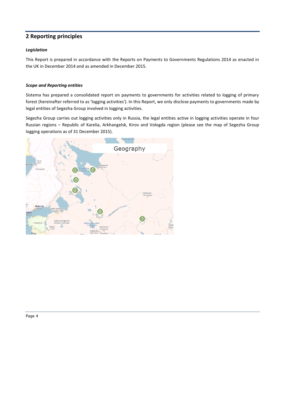## <span id="page-3-0"></span>**2 Reporting principles**

#### <span id="page-3-1"></span>*Legislation*

This Report is prepared in accordance with the Reports on Payments to Governments Regulations 2014 as enacted in the UK in December 2014 and as amended in December 2015.

#### <span id="page-3-2"></span>*Scope and Reporting entities*

Sistema has prepared a consolidated report on payments to governments for activities related to logging of primary forest (hereinafter referred to as 'logging activities'). In this Report, we only disclose payments to governments made by legal entities of Segezha Group involved in logging activities.

Segezha Group carries out logging activities only in Russia, the legal entities active in logging activities operate in four Russian regions – Republic of Karelia, Arkhangelsk, Kirov and Vologda region (please see the map of Segezha Group logging operations as of 31 December 2015).

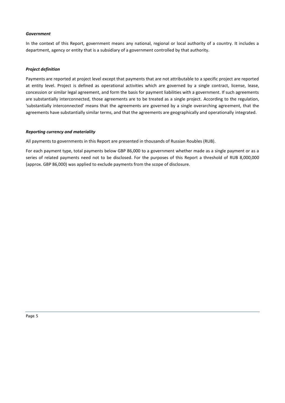#### <span id="page-4-0"></span>*Government*

In the context of this Report, government means any national, regional or local authority of a country. It includes a department, agency or entity that is a subsidiary of a government controlled by that authority.

#### <span id="page-4-1"></span>*Project definition*

Payments are reported at project level except that payments that are not attributable to a specific project are reported at entity level. Project is defined as operational activities which are governed by a single contract, license, lease, concession or similar legal agreement, and form the basis for payment liabilities with a government. If such agreements are substantially interconnected, those agreements are to be treated as a single project. According to the regulation, 'substantially interconnected' means that the agreements are governed by a single overarching agreement, that the agreements have substantially similar terms, and that the agreements are geographically and operationally integrated.

#### <span id="page-4-2"></span>*Reporting currency and materiality*

All payments to governments in this Report are presented in thousands of Russian Roubles (RUB).

For each payment type, total payments below GBP 86,000 to a government whether made as a single payment or as a series of related payments need not to be disclosed. For the purposes of this Report a threshold of RUB 8,000,000 (approx. GBP 86,000) was applied to exclude payments from the scope of disclosure.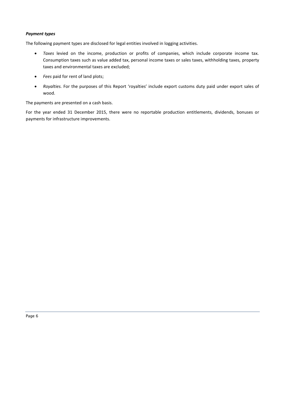#### <span id="page-5-0"></span>*Payment types*

The following payment types are disclosed for legal entities involved in logging activities.

- *Taxes* levied on the income, production or profits of companies, which include corporate income tax. Consumption taxes such as value added tax, personal income taxes or sales taxes, withholding taxes, property taxes and environmental taxes are excluded;
- *Fees* paid for rent of land plots;
- *Royalties.* For the purposes of this Report 'royalties' include export customs duty paid under export sales of wood.

The payments are presented on a cash basis.

For the year ended 31 December 2015, there were no reportable production entitlements, dividends, bonuses or payments for infrastructure improvements.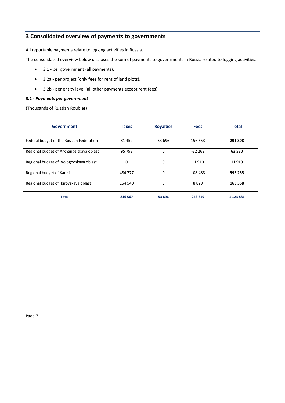## <span id="page-6-0"></span>**3 Consolidated overview of payments to governments**

All reportable payments relate to logging activities in Russia.

The consolidated overview below discloses the sum of payments to governments in Russia related to logging activities:

- 3.1 per government (all payments),
- 3.2a per project (only fees for rent of land plots),
- 3.2b per entity level (all other payments except rent fees).

#### <span id="page-6-1"></span>*3.1 - Payments per government*

(Thousands of Russian Roubles)

| <b>Government</b>                        | <b>Taxes</b> | <b>Royalties</b> | <b>Fees</b> | <b>Total</b>  |
|------------------------------------------|--------------|------------------|-------------|---------------|
| Federal budget of the Russian Federation | 81459        | 53 696           | 156 653     | 291 808       |
| Regional budget of Arkhangelskaya oblast | 95 792       | 0                | $-32262$    | 63 530        |
| Regional budget of Vologodskaya oblast   | $\Omega$     | $\Omega$         | 11 910      | 11 910        |
| Regional budget of Karelia               | 484 777      | $\Omega$         | 108 488     | 593 265       |
| Regional budget of Kirovskaya oblast     | 154 540      | $\Omega$         | 8829        | 163 368       |
| <b>Total</b>                             | 816 567      | 53 696           | 253 619     | 1 1 2 3 8 8 1 |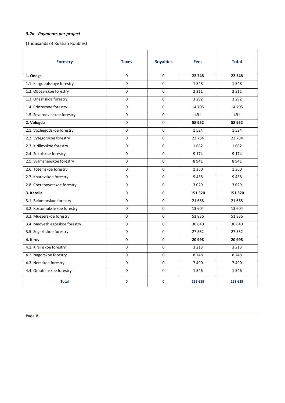#### <span id="page-7-0"></span>*3.2a - Payments per project*

(Thousands of Russian Roubles)

| <b>Forestry</b>                | <b>Taxes</b> | <b>Royalties</b> | <b>Fees</b> | <b>Total</b> |
|--------------------------------|--------------|------------------|-------------|--------------|
| 1. Onega                       | 0            | $\mathbf 0$      | 22 348      | 22 348       |
| 1.1. Kargopolskoye forestry    | $\Omega$     | $\Omega$         | 1548        | 1548         |
| 1.2. Obozerskoe forestry       | 0            | 0                | 2 3 1 1     | 2 3 1 1      |
| 1.3. Onezhskoe forestry        | 0            | $\mathbf 0$      | 3 2 9 2     | 3 2 9 2      |
| 1.4. Priozernoe forestry       | 0            | 0                | 14 705      | 14 705       |
| 1.5. Severodvinskoe forestry   | 0            | $\mathbf 0$      | 491         | 491          |
| 2. Vologda                     | 0            | $\mathbf 0$      | 58 952      | 58 952       |
| 2.1. Vozhegodskoe forestry     | $\mathbf{0}$ | $\mathbf 0$      | 1524        | 1524         |
| 2.2. Vytegorskoe forestry      | 0            | $\mathbf 0$      | 23 7 84     | 23 7 84      |
| 2.3. Kirillovskoe forestry     | $\mathbf{0}$ | $\mathbf 0$      | 1682        | 1682         |
| 2.4. Sokolskoe forestry        | 0            | 0                | 9 1 7 4     | 9 1 7 4      |
| 2.5. Syamzhenskoe forestry     | 0            | $\mathbf 0$      | 8941        | 8941         |
| 2.6. Totemskoe forestry        | 0            | $\mathbf 0$      | 1 3 6 0     | 1 3 6 0      |
| 2.7. Kharovskoe forestry       | 0            | $\mathbf 0$      | 9458        | 9458         |
| 2.8. Cherepovetskoe forestry   | 0            | $\mathbf 0$      | 3029        | 3029         |
| 3. Karelia                     | 0            | $\mathbf 0$      | 151 320     | 151 320      |
| 3.1. Belomorskoe forestry      | 0            | $\mathbf 0$      | 21 688      | 21 688       |
| 3.2. Kostomukshskoe forestry   | $\Omega$     | $\mathbf 0$      | 13 604      | 13 604       |
| 3.3. Muezerskoe forestry       | $\mathbf 0$  | $\mathbf 0$      | 51836       | 51836        |
| 3.4. Medvezh'egorskoe forestry | 0            | $\mathbf 0$      | 36 640      | 36 640       |
| 3.5. Segezhskoe forestry       | 0            | $\mathbf 0$      | 27 552      | 27 552       |
| 4. Kirov                       | 0            | $\mathbf 0$      | 20 998      | 20 998       |
| 4.1. Kirsinskoe forestry       | 0            | $\mathbf 0$      | 3 2 1 3     | 3 2 1 3      |
| 4.2. Nagorskoe forestry        | 0            | 0                | 8748        | 8748         |
| 4.3. Nemskoe forestry          | 0            | $\mathbf 0$      | 7490        | 7490         |
| 4.4. Omutninskoe forestry      | $\mathbf 0$  | $\mathbf 0$      | 1546        | 1546         |
| <b>Total</b>                   | $\mathbf 0$  | $\mathbf 0$      | 253 619     | 253 619      |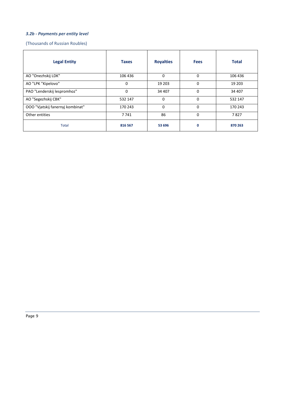#### <span id="page-8-0"></span>*3.2b - Payments per entity level*

(Thousands of Russian Roubles)

| <b>Legal Entity</b>              | <b>Taxes</b> | <b>Royalties</b> | <b>Fees</b> | <b>Total</b> |
|----------------------------------|--------------|------------------|-------------|--------------|
| AO "Onezhskij LDK"               | 106 436      | $\Omega$         | $\Omega$    | 106 436      |
| AO "LPK "Kipelovo"               | 0            | 19 20 3          | 0           | 19 20 3      |
| PAO "Lenderskij lespromhoz"      | $\Omega$     | 34 407           | $\Omega$    | 34 407       |
| AO "Segezhskij CBK"              | 532 147      | $\Omega$         | 0           | 532 147      |
| OOO "Vjatskij fanernyj kombinat" | 170 243      | 0                | 0           | 170 243      |
| Other entities                   | 7741         | 86               | 0           | 7827         |
| <b>Total</b>                     | 816 567      | 53 696           | 0           | 870 263      |